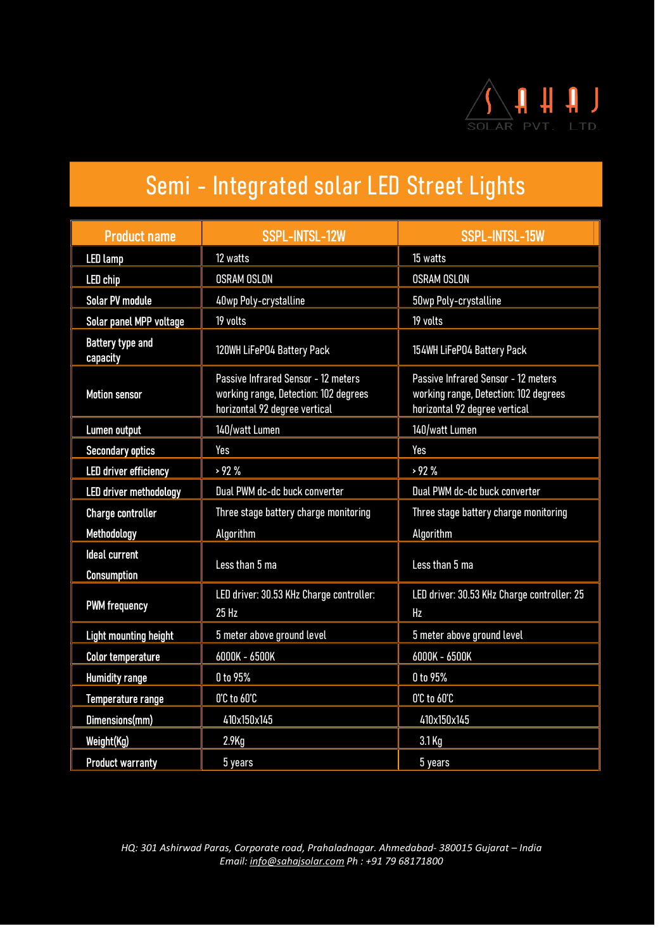

| <b>Product name</b>                        | <b>SSPL-INTSL-12W</b>                                                                                         | <b>SSPL-INTSL-15W</b>                                                                                         |  |
|--------------------------------------------|---------------------------------------------------------------------------------------------------------------|---------------------------------------------------------------------------------------------------------------|--|
| <b>LED</b> lamp                            | 12 watts                                                                                                      | 15 watts                                                                                                      |  |
| <b>LED</b> chip                            | <b>OSRAM OSLON</b>                                                                                            | <b>OSRAM OSLON</b>                                                                                            |  |
| <b>Solar PV module</b>                     | 40wp Poly-crystalline                                                                                         | 50wp Poly-crystalline                                                                                         |  |
| Solar panel MPP voltage                    | 19 volts                                                                                                      | 19 volts                                                                                                      |  |
| <b>Battery type and</b><br>capacity        | 120WH LiFeP04 Battery Pack<br>154WH LiFeP04 Battery Pack                                                      |                                                                                                               |  |
| <b>Motion sensor</b>                       | Passive Infrared Sensor - 12 meters<br>working range, Detection: 102 degrees<br>horizontal 92 degree vertical | Passive Infrared Sensor - 12 meters<br>working range, Detection: 102 degrees<br>horizontal 92 degree vertical |  |
| Lumen output                               | 140/watt Lumen                                                                                                | 140/watt Lumen                                                                                                |  |
| <b>Secondary optics</b>                    | Yes                                                                                                           | Yes                                                                                                           |  |
| <b>LED driver efficiency</b>               | > 92%                                                                                                         | >92%                                                                                                          |  |
| <b>LED driver methodology</b>              | Dual PWM dc-dc buck converter                                                                                 | Dual PWM dc-dc buck converter                                                                                 |  |
| <b>Charge controller</b>                   | Three stage battery charge monitoring                                                                         | Three stage battery charge monitoring                                                                         |  |
| Methodology                                | Algorithm                                                                                                     | Algorithm                                                                                                     |  |
| <b>Ideal current</b><br><b>Consumption</b> | Less than 5 ma                                                                                                | Less than 5 ma                                                                                                |  |
| <b>PWM frequency</b>                       | LED driver: 30.53 KHz Charge controller:<br>25 Hz                                                             | LED driver: 30.53 KHz Charge controller: 25<br>Hz                                                             |  |
| <b>Light mounting height</b>               | 5 meter above ground level                                                                                    | 5 meter above ground level                                                                                    |  |
| <b>Color temperature</b>                   | 6000K - 6500K<br>6000K - 6500K                                                                                |                                                                                                               |  |
| <b>Humidity range</b>                      | 0 to 95%<br>0 to 95%                                                                                          |                                                                                                               |  |
| <b>Temperature range</b>                   | O'C to 60'C                                                                                                   | O'C to 60'C                                                                                                   |  |
| Dimensions(mm)                             | 410x150x145                                                                                                   | 410x150x145                                                                                                   |  |
| Weight(Kg)                                 | $2.9$ Kg                                                                                                      | 3.1 Kg                                                                                                        |  |
| <b>Product warranty</b>                    | 5 years                                                                                                       | 5 years                                                                                                       |  |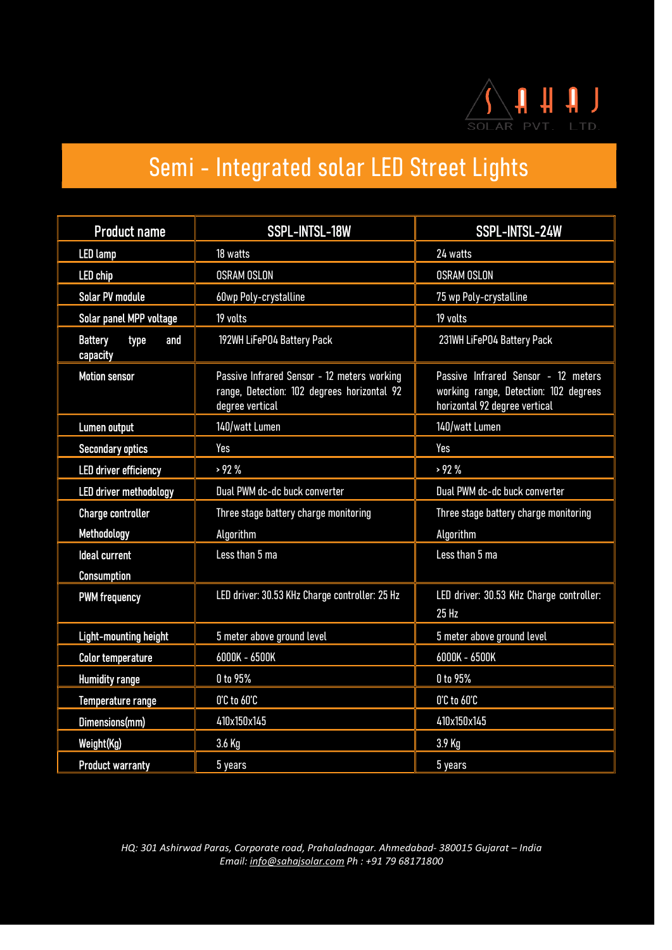

| <b>Product name</b>                       | <b>SSPL-INTSL-18W</b>                                                                                         | SSPL-INTSL-24W                                                                                                |  |
|-------------------------------------------|---------------------------------------------------------------------------------------------------------------|---------------------------------------------------------------------------------------------------------------|--|
| <b>LED lamp</b>                           | 18 watts                                                                                                      | 24 watts                                                                                                      |  |
| <b>LED</b> chip                           | <b>OSRAM OSLON</b>                                                                                            | <b>OSRAM OSLON</b>                                                                                            |  |
| <b>Solar PV module</b>                    | 60wp Poly-crystalline<br>75 wp Poly-crystalline                                                               |                                                                                                               |  |
| Solar panel MPP voltage                   | 19 volts                                                                                                      | 19 volts                                                                                                      |  |
| <b>Battery</b><br>type<br>and<br>capacity | 192WH LiFeP04 Battery Pack                                                                                    | 231WH LiFeP04 Battery Pack                                                                                    |  |
| <b>Motion sensor</b>                      | Passive Infrared Sensor - 12 meters working<br>range, Detection: 102 degrees horizontal 92<br>degree vertical | Passive Infrared Sensor - 12 meters<br>working range, Detection: 102 degrees<br>horizontal 92 degree vertical |  |
| Lumen output                              | 140/watt Lumen                                                                                                | 140/watt Lumen                                                                                                |  |
| <b>Secondary optics</b>                   | Yes                                                                                                           | Yes                                                                                                           |  |
| <b>LED driver efficiency</b>              | >92%                                                                                                          | > 92%                                                                                                         |  |
| <b>LED driver methodology</b>             | Dual PWM dc-dc buck converter                                                                                 | Dual PWM dc-dc buck converter                                                                                 |  |
| <b>Charge controller</b>                  | Three stage battery charge monitoring                                                                         | Three stage battery charge monitoring                                                                         |  |
| Methodology                               | Algorithm                                                                                                     | Algorithm                                                                                                     |  |
| <b>Ideal current</b>                      | Less than 5 ma                                                                                                | Less than 5 ma                                                                                                |  |
| <b>Consumption</b>                        |                                                                                                               |                                                                                                               |  |
| <b>PWM frequency</b>                      | LED driver: 30.53 KHz Charge controller: 25 Hz                                                                | LED driver: 30.53 KHz Charge controller:<br>25 Hz                                                             |  |
| <b>Light-mounting height</b>              | 5 meter above ground level                                                                                    | 5 meter above ground level                                                                                    |  |
| <b>Color temperature</b>                  | 6000K - 6500K                                                                                                 | 6000K - 6500K                                                                                                 |  |
| <b>Humidity range</b>                     | 0 to 95%                                                                                                      | 0 to 95%                                                                                                      |  |
| Temperature range                         | O'C to 60'C                                                                                                   | O'C to 60'C                                                                                                   |  |
| Dimensions(mm)                            | 410x150x145                                                                                                   | 410x150x145                                                                                                   |  |
| Weight(Kg)                                | 3.6 Kg                                                                                                        | 3.9 Kg                                                                                                        |  |
| <b>Product warranty</b>                   | 5 years                                                                                                       | 5 years                                                                                                       |  |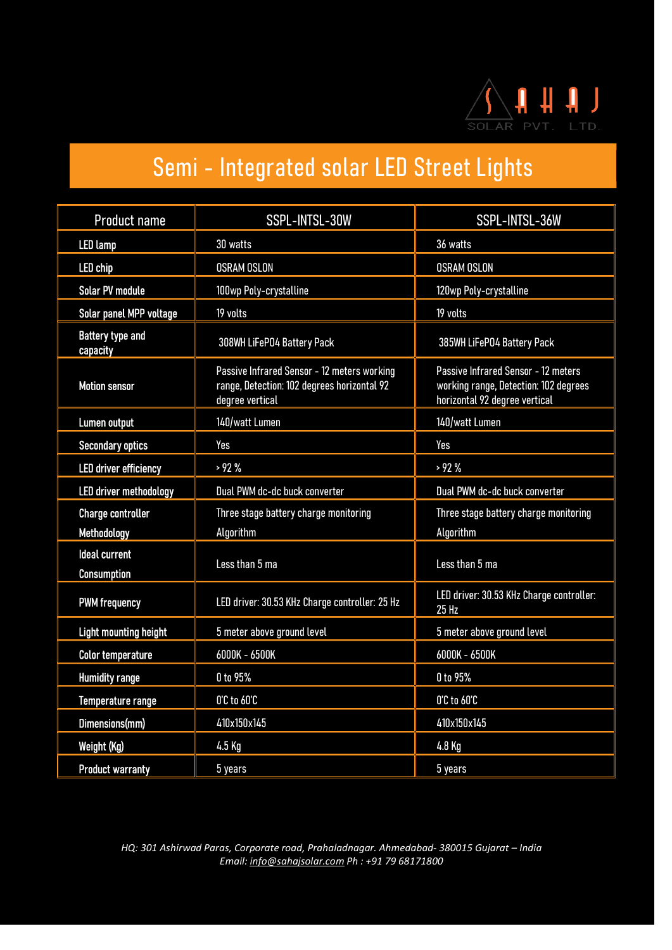

| <b>Product name</b>                        | SSPL-INTSL-30W                                                                                                | SSPL-INTSL-36W                                                                                                |  |
|--------------------------------------------|---------------------------------------------------------------------------------------------------------------|---------------------------------------------------------------------------------------------------------------|--|
| <b>LED lamp</b>                            | 30 watts                                                                                                      | 36 watts                                                                                                      |  |
| <b>LED</b> chip                            | <b>OSRAM OSLON</b>                                                                                            | <b>OSRAM OSLON</b>                                                                                            |  |
| <b>Solar PV module</b>                     | 100wp Poly-crystalline                                                                                        | 120wp Poly-crystalline                                                                                        |  |
| <b>Solar panel MPP voltage</b>             | 19 volts                                                                                                      | 19 volts                                                                                                      |  |
| <b>Battery type and</b><br>capacity        | 308WH LiFeP04 Battery Pack                                                                                    | 385WH LiFePO4 Battery Pack                                                                                    |  |
| <b>Motion sensor</b>                       | Passive Infrared Sensor - 12 meters working<br>range, Detection: 102 degrees horizontal 92<br>degree vertical | Passive Infrared Sensor - 12 meters<br>working range, Detection: 102 degrees<br>horizontal 92 degree vertical |  |
| Lumen output                               | 140/watt Lumen                                                                                                | 140/watt Lumen                                                                                                |  |
| <b>Secondary optics</b>                    | Yes                                                                                                           | Yes                                                                                                           |  |
| <b>LED driver efficiency</b>               | >92%                                                                                                          | > 92%                                                                                                         |  |
| <b>LED</b> driver methodology              | Dual PWM dc-dc buck converter                                                                                 | Dual PWM dc-dc buck converter                                                                                 |  |
| <b>Charge controller</b>                   | Three stage battery charge monitoring                                                                         | Three stage battery charge monitoring                                                                         |  |
| Methodology                                | Algorithm                                                                                                     | Algorithm                                                                                                     |  |
| <b>Ideal current</b><br><b>Consumption</b> | Less than 5 ma                                                                                                | Less than 5 ma                                                                                                |  |
| <b>PWM frequency</b>                       | LED driver: 30.53 KHz Charge controller: 25 Hz                                                                | LED driver: 30.53 KHz Charge controller:<br>$25$ Hz                                                           |  |
| <b>Light mounting height</b>               | 5 meter above ground level                                                                                    | 5 meter above ground level                                                                                    |  |
| <b>Color temperature</b>                   | 6000K - 6500K                                                                                                 | 6000K - 6500K                                                                                                 |  |
| <b>Humidity range</b>                      | 0 to 95%                                                                                                      | 0 to 95%                                                                                                      |  |
| Temperature range                          | O'C to 60'C                                                                                                   | 0'C to 60'C                                                                                                   |  |
| Dimensions(mm)                             | 410x150x145                                                                                                   | 410x150x145                                                                                                   |  |
| Weight (Kg)                                | 4.5 Kg                                                                                                        | 4.8 Kg                                                                                                        |  |
| <b>Product warranty</b>                    | 5 years                                                                                                       | 5 years                                                                                                       |  |